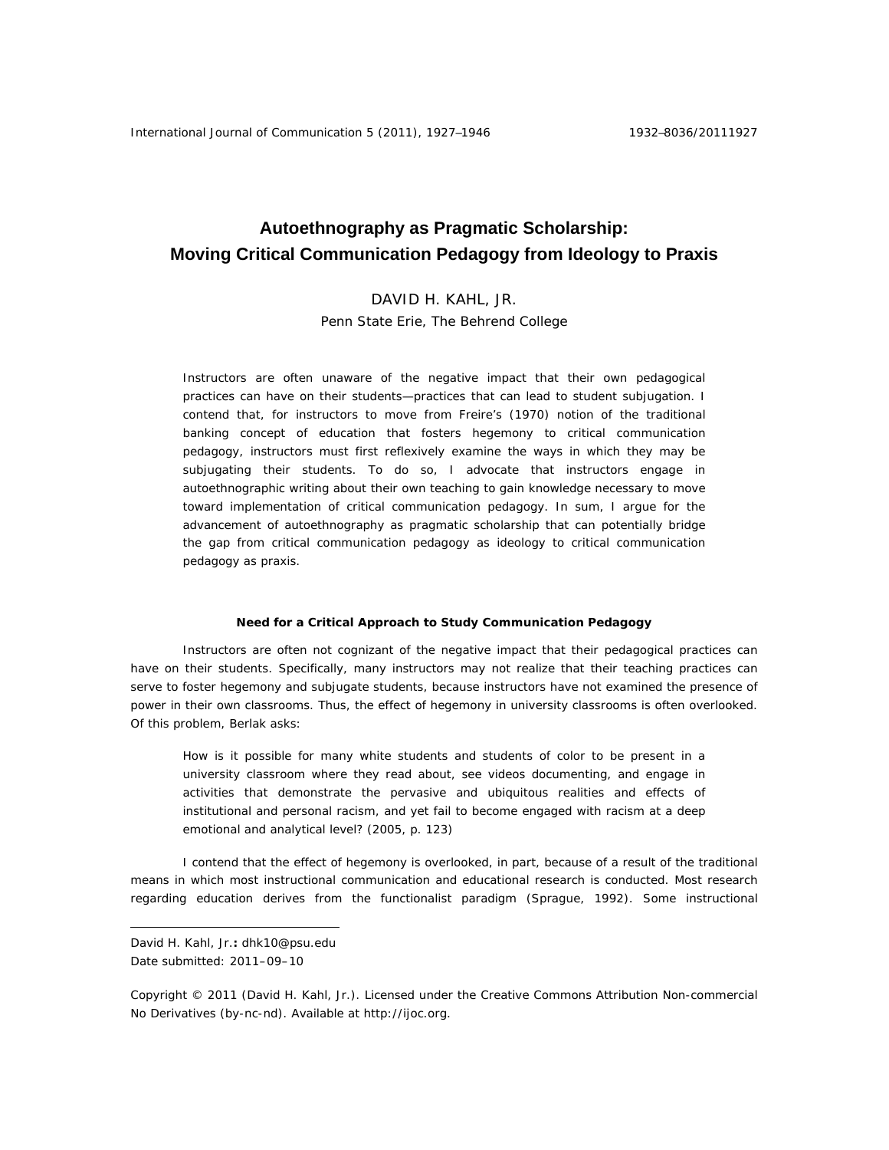# **Autoethnography as Pragmatic Scholarship: Moving Critical Communication Pedagogy from Ideology to Praxis**

## DAVID H. KAHL, JR.

Penn State Erie, The Behrend College

Instructors are often unaware of the negative impact that their own pedagogical practices can have on their students—practices that can lead to student subjugation. I contend that, for instructors to move from Freire's (1970) notion of the traditional banking concept of education that fosters hegemony to critical communication pedagogy, instructors must first reflexively examine the ways in which they may be subjugating their students. To do so, I advocate that instructors engage in autoethnographic writing about their own teaching to gain knowledge necessary to move toward implementation of critical communication pedagogy. In sum, I argue for the advancement of autoethnography as pragmatic scholarship that can potentially bridge the gap from critical communication pedagogy as ideology to critical communication pedagogy as praxis.

## **Need for a Critical Approach to Study Communication Pedagogy**

 Instructors are often not cognizant of the negative impact that their pedagogical practices can have on their students. Specifically, many instructors may not realize that their teaching practices can serve to foster hegemony and subjugate students, because instructors have not examined the presence of power in their own classrooms. Thus, the effect of hegemony in university classrooms is often overlooked. Of this problem, Berlak asks:

How is it possible for many white students and students of color to be present in a university classroom where they read about, see videos documenting, and engage in activities that demonstrate the pervasive and ubiquitous realities and effects of institutional and personal racism, and yet fail to become engaged with racism at a deep emotional and analytical level? (2005, p. 123)

I contend that the effect of hegemony is overlooked, in part, because of a result of the traditional means in which most instructional communication and educational research is conducted. Most research regarding education derives from the functionalist paradigm (Sprague, 1992). Some instructional

 $\overline{a}$ 

David H. Kahl, Jr.**:** dhk10@psu.edu Date submitted: 2011–09–10

Copyright © 2011 (David H. Kahl, Jr.). Licensed under the Creative Commons Attribution Non-commercial No Derivatives (by-nc-nd). Available at http://ijoc.org.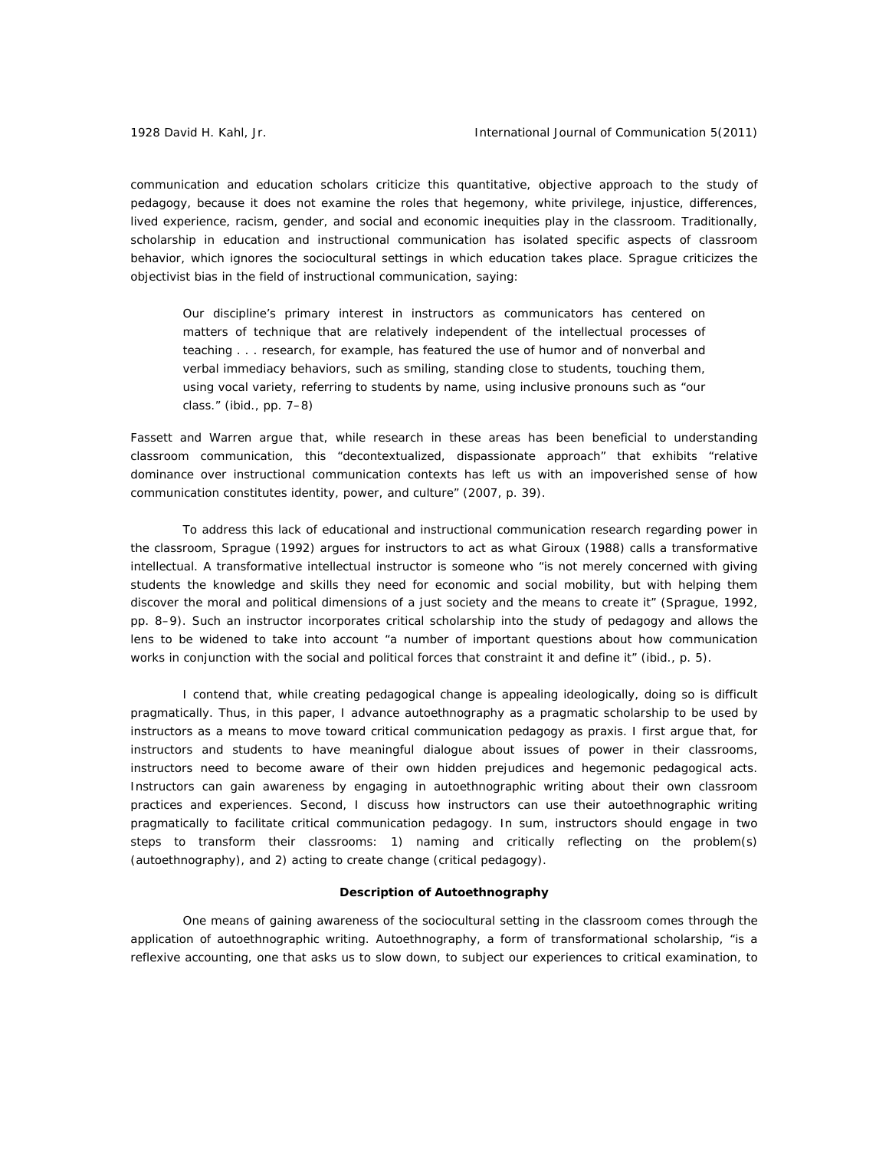communication and education scholars criticize this quantitative, objective approach to the study of pedagogy, because it does not examine the roles that hegemony, white privilege, injustice, differences, lived experience, racism, gender, and social and economic inequities play in the classroom. Traditionally, scholarship in education and instructional communication has isolated specific aspects of classroom behavior, which ignores the sociocultural settings in which education takes place. Sprague criticizes the objectivist bias in the field of instructional communication, saying:

Our discipline's primary interest in instructors as communicators has centered on matters of technique that are relatively independent of the intellectual processes of teaching . . . research, for example, has featured the use of humor and of nonverbal and verbal immediacy behaviors, such as smiling, standing close to students, touching them, using vocal variety, referring to students by name, using inclusive pronouns such as "our class." (ibid., pp. 7–8)

Fassett and Warren argue that, while research in these areas has been beneficial to understanding classroom communication, this "decontextualized, dispassionate approach" that exhibits "relative dominance over instructional communication contexts has left us with an impoverished sense of how communication constitutes identity, power, and culture" (2007, p. 39).

 To address this lack of educational and instructional communication research regarding power in the classroom, Sprague (1992) argues for instructors to act as what Giroux (1988) calls a transformative intellectual. A transformative intellectual instructor is someone who "is not merely concerned with giving students the knowledge and skills they need for economic and social mobility, but with helping them discover the moral and political dimensions of a just society and the means to create it" (Sprague, 1992, pp. 8–9). Such an instructor incorporates critical scholarship into the study of pedagogy and allows the lens to be widened to take into account "a number of important questions about how communication works in conjunction with the social and political forces that constraint it and define it" (ibid., p. 5).

I contend that, while creating pedagogical change is appealing ideologically, doing so is difficult pragmatically. Thus, in this paper, I advance autoethnography as a pragmatic scholarship to be used by instructors as a means to move toward critical communication pedagogy as praxis. I first argue that, for instructors and students to have meaningful dialogue about issues of power in their classrooms, instructors need to become aware of their own hidden prejudices and hegemonic pedagogical acts. Instructors can gain awareness by engaging in autoethnographic writing about their own classroom practices and experiences. Second, I discuss how instructors can use their autoethnographic writing pragmatically to facilitate critical communication pedagogy. In sum, instructors should engage in two steps to transform their classrooms: 1) naming and critically reflecting on the problem(s) (autoethnography), and 2) acting to create change (critical pedagogy).

#### **Description of Autoethnography**

One means of gaining awareness of the sociocultural setting in the classroom comes through the application of autoethnographic writing. Autoethnography, a form of transformational scholarship, "is a reflexive accounting, one that asks us to slow down, to subject our experiences to critical examination, to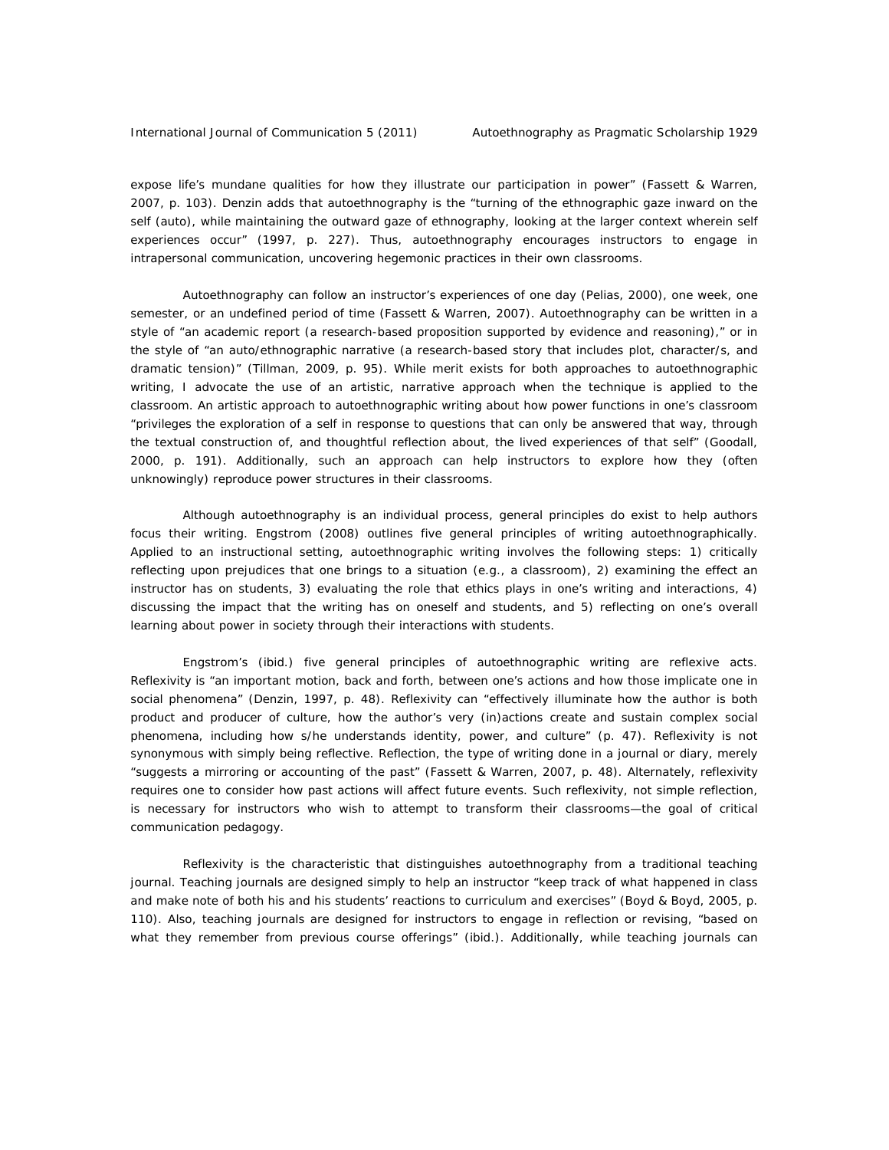expose life's mundane qualities for how they illustrate our participation in power" (Fassett & Warren, 2007, p. 103). Denzin adds that autoethnography is the "turning of the ethnographic gaze inward on the self (auto), while maintaining the outward gaze of ethnography, looking at the larger context wherein self experiences occur" (1997, p. 227). Thus, autoethnography encourages instructors to engage in intrapersonal communication, uncovering hegemonic practices in their own classrooms.

Autoethnography can follow an instructor's experiences of one day (Pelias, 2000), one week, one semester, or an undefined period of time (Fassett & Warren, 2007). Autoethnography can be written in a style of "an academic report (a research-based proposition supported by evidence and reasoning)," or in the style of "an auto/ethnographic narrative (a research-based story that includes plot, character/s, and dramatic tension)" (Tillman, 2009, p. 95). While merit exists for both approaches to autoethnographic writing, I advocate the use of an artistic, narrative approach when the technique is applied to the classroom. An artistic approach to autoethnographic writing about how power functions in one's classroom "privileges the exploration of a self *in response to questions that can only be answered that way*, through the textual construction of, and thoughtful reflection about, the *lived experiences of that self*" (Goodall, 2000, p. 191). Additionally, such an approach can help instructors to explore how they (often unknowingly) reproduce power structures in their classrooms.

Although autoethnography is an individual process, general principles do exist to help authors focus their writing. Engstrom (2008) outlines five general principles of writing autoethnographically. Applied to an instructional setting, autoethnographic writing involves the following steps: 1) critically reflecting upon prejudices that one brings to a situation (e.g., a classroom), 2) examining the effect an instructor has on students, 3) evaluating the role that ethics plays in one's writing and interactions, 4) discussing the impact that the writing has on oneself and students, and 5) reflecting on one's overall learning about power in society through their interactions with students.

Engstrom's (ibid.) five general principles of autoethnographic writing are reflexive acts. Reflexivity is "an important motion, back and forth, between one's actions and how those implicate one in social phenomena" (Denzin, 1997, p. 48). Reflexivity can "effectively illuminate how the author is both product and producer of culture, how the author's very (in)actions create and sustain complex social phenomena, including how s/he understands identity, power, and culture" (p. 47). Reflexivity is not synonymous with simply being reflective. Reflection, the type of writing done in a journal or diary, merely "suggests a mirroring or accounting of the past" (Fassett & Warren, 2007, p. 48). Alternately, reflexivity requires one to consider how past actions will affect future events. Such reflexivity, not simple reflection, is necessary for instructors who wish to attempt to transform their classrooms—the goal of critical communication pedagogy.

Reflexivity is the characteristic that distinguishes autoethnography from a traditional teaching journal. Teaching journals are designed simply to help an instructor "keep track of what happened in class and make note of both his and his students' reactions to curriculum and exercises" (Boyd & Boyd, 2005, p. 110). Also, teaching journals are designed for instructors to engage in reflection or revising, "based on what they remember from previous course offerings" (ibid.). Additionally, while teaching journals can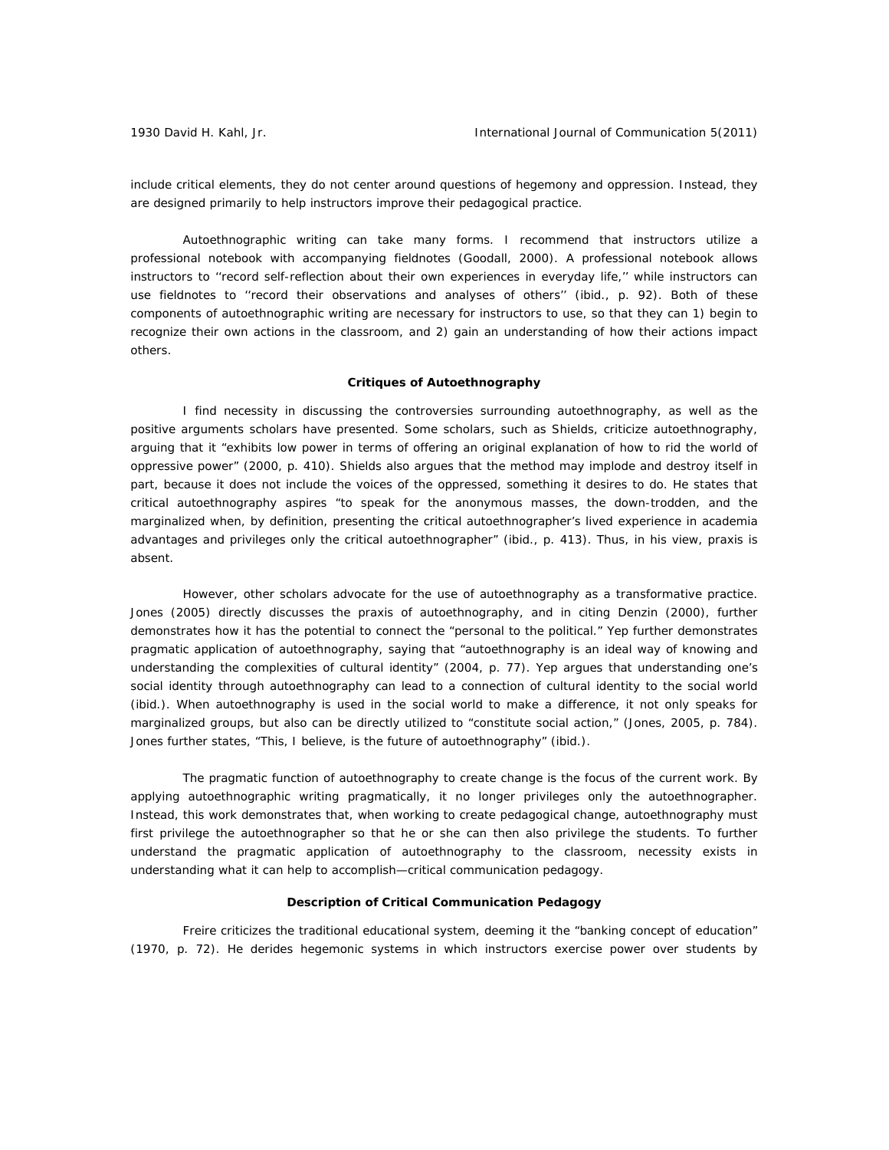include critical elements, they do not center around questions of hegemony and oppression. Instead, they are designed primarily to help instructors improve their pedagogical practice.

 Autoethnographic writing can take many forms. I recommend that instructors utilize a professional notebook with accompanying fieldnotes (Goodall, 2000). A professional notebook allows instructors to ''record self-reflection about their own experiences in everyday life,'' while instructors can use fieldnotes to ''record their observations and analyses of others'' (ibid., p. 92). Both of these components of autoethnographic writing are necessary for instructors to use, so that they can 1) begin to recognize their own actions in the classroom, and 2) gain an understanding of how their actions impact others.

## **Critiques of Autoethnography**

 I find necessity in discussing the controversies surrounding autoethnography, as well as the positive arguments scholars have presented. Some scholars, such as Shields, criticize autoethnography, arguing that it "exhibits low power in terms of offering an original explanation of how to rid the world of oppressive power" (2000, p. 410). Shields also argues that the method may implode and destroy itself in part, because it does not include the voices of the oppressed, something it desires to do. He states that critical autoethnography aspires "to speak for the anonymous masses, the down-trodden, and the marginalized when, by definition, presenting the critical autoethnographer's lived experience in academia advantages and privileges *only* the critical autoethnographer" (ibid., p. 413). Thus, in his view, praxis is absent.

 However, other scholars advocate for the use of autoethnography as a transformative practice. Jones (2005) directly discusses the praxis of autoethnography, and in citing Denzin (2000), further demonstrates how it has the potential to connect the "personal to the political." Yep further demonstrates pragmatic application of autoethnography, saying that "autoethnography is an ideal way of knowing and understanding the complexities of cultural identity" (2004, p. 77). Yep argues that understanding one's social identity through autoethnography can lead to a connection of cultural identity to the social world (ibid.). When autoethnography is used in the social world to make a difference, it not only speaks for marginalized groups, but also can be directly utilized to "constitute social action," (Jones, 2005, p. 784). Jones further states, "This, I believe, is the future of autoethnography" (ibid.).

The pragmatic function of autoethnography to create change is the focus of the current work. By applying autoethnographic writing pragmatically, it no longer privileges only the autoethnographer. Instead, this work demonstrates that, when working to create pedagogical change, autoethnography must first privilege the autoethnographer so that he or she can then also privilege the students. To further understand the pragmatic application of autoethnography to the classroom, necessity exists in understanding what it can help to accomplish—critical communication pedagogy.

## **Description of Critical Communication Pedagogy**

Freire criticizes the traditional educational system, deeming it the "banking concept of education" (1970, p. 72). He derides hegemonic systems in which instructors exercise power over students by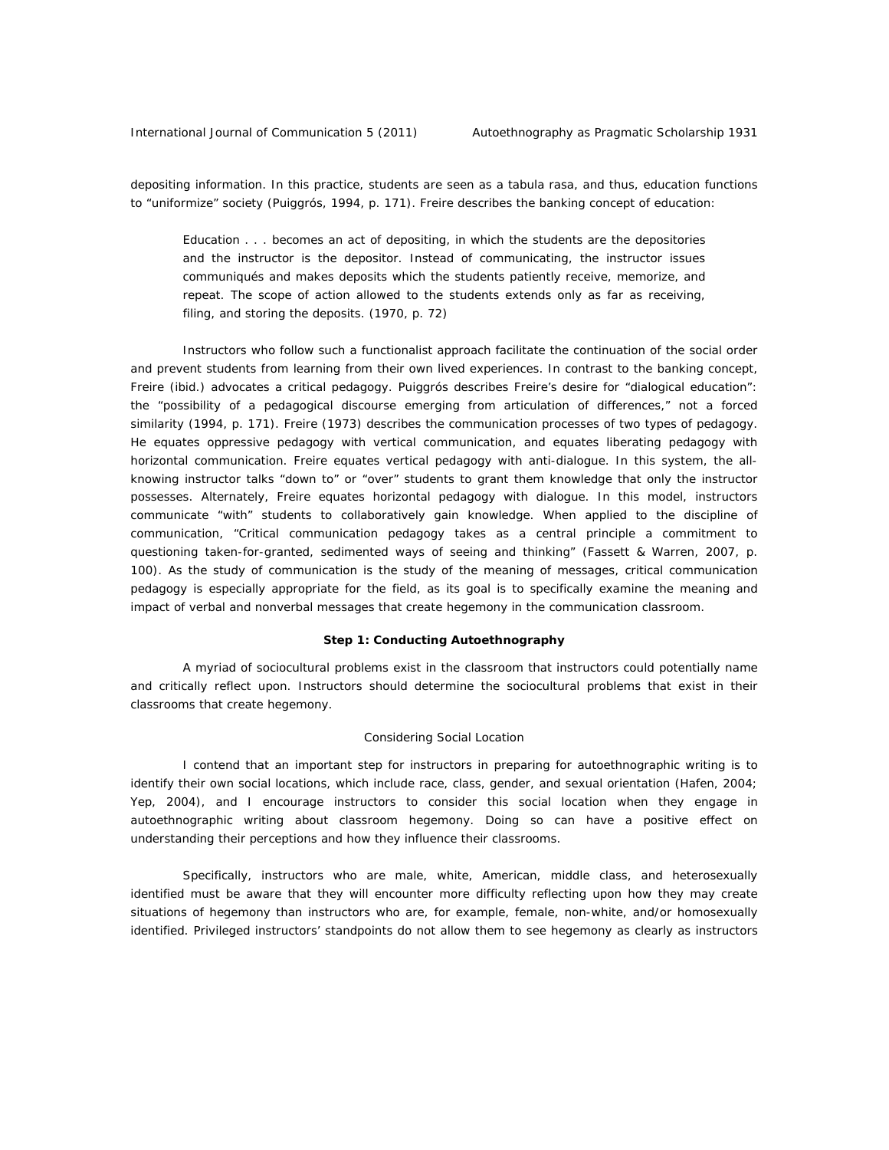depositing information. In this practice, students are seen as a tabula rasa, and thus, education functions to "uniformize" society (Puiggrós, 1994, p. 171). Freire describes the banking concept of education:

Education . . . becomes an act of depositing, in which the students are the depositories and the instructor is the depositor. Instead of communicating, the instructor issues communiqués and makes deposits which the students patiently receive, memorize, and repeat. The scope of action allowed to the students extends only as far as receiving, filing, and storing the deposits. (1970, p. 72)

Instructors who follow such a functionalist approach facilitate the continuation of the social order and prevent students from learning from their own lived experiences. In contrast to the banking concept, Freire (ibid.) advocates a critical pedagogy. Puiggrós describes Freire's desire for "dialogical education": the "possibility of a pedagogical discourse emerging from articulation of *differences*," not a forced similarity (1994, p. 171). Freire (1973) describes the communication processes of two types of pedagogy. He equates oppressive pedagogy with vertical communication, and equates liberating pedagogy with horizontal communication. Freire equates vertical pedagogy with anti-dialogue. In this system, the allknowing instructor talks "down to" or "over" students to grant them knowledge that only the instructor possesses. Alternately, Freire equates horizontal pedagogy with dialogue. In this model, instructors communicate "with" students to collaboratively gain knowledge. When applied to the discipline of communication, "Critical communication pedagogy takes as a central principle a commitment to questioning taken-for-granted, sedimented ways of seeing and thinking" (Fassett & Warren, 2007, p. 100). As the study of communication is the study of the meaning of messages, critical communication pedagogy is especially appropriate for the field, as its goal is to specifically examine the meaning and impact of verbal and nonverbal messages that create hegemony in the communication classroom.

#### **Step 1: Conducting Autoethnography**

A myriad of sociocultural problems exist in the classroom that instructors could potentially name and critically reflect upon. Instructors should determine the sociocultural problems that exist in their classrooms that create hegemony.

#### *Considering Social Location*

I contend that an important step for instructors in preparing for autoethnographic writing is to identify their own social locations, which include race, class, gender, and sexual orientation (Hafen, 2004; Yep, 2004), and I encourage instructors to consider this social location when they engage in autoethnographic writing about classroom hegemony. Doing so can have a positive effect on understanding their perceptions and how they influence their classrooms.

Specifically, instructors who are male, white, American, middle class, and heterosexually identified must be aware that they will encounter more difficulty reflecting upon how they may create situations of hegemony than instructors who are, for example, female, non-white, and/or homosexually identified. Privileged instructors' standpoints do not allow them to see hegemony as clearly as instructors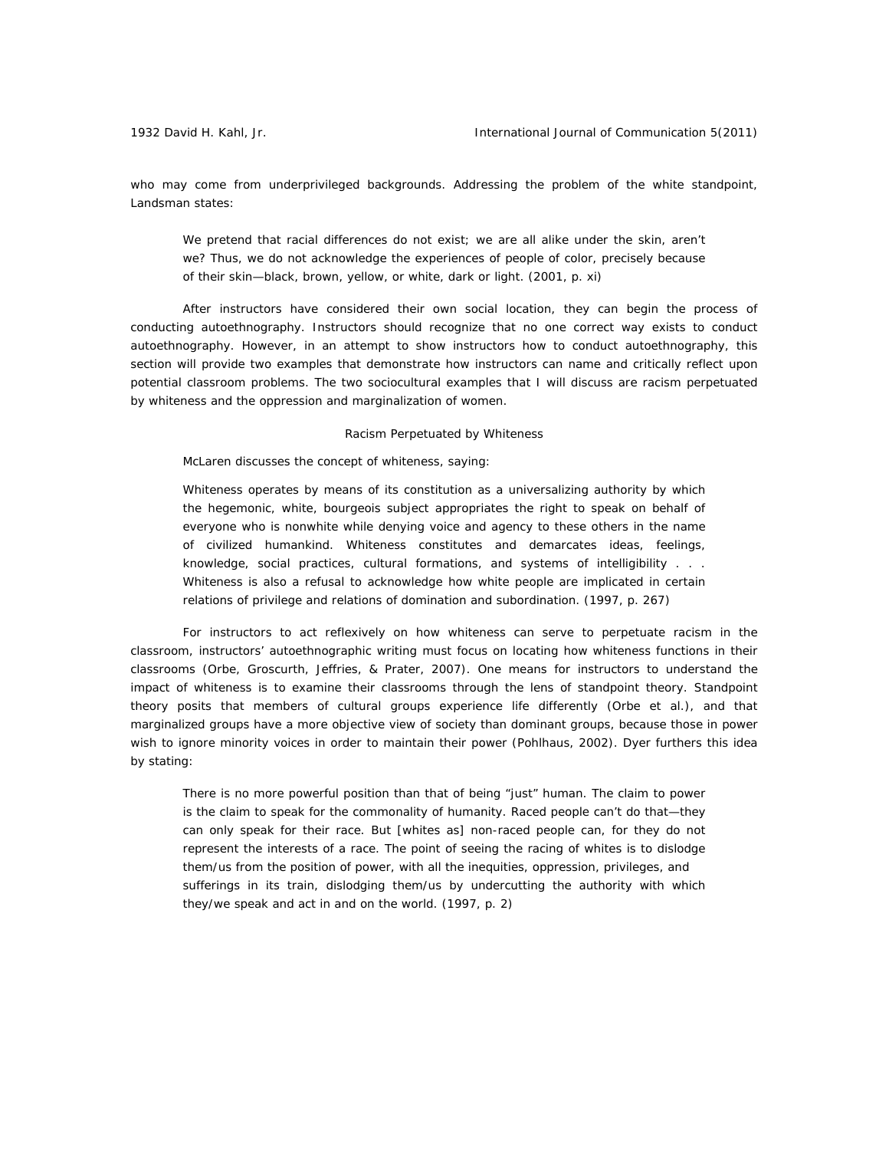who may come from underprivileged backgrounds. Addressing the problem of the white standpoint, Landsman states:

We pretend that racial differences do not exist; we are all alike under the skin, aren't we? Thus, we do not acknowledge the experiences of people of color, precisely *because* of their skin—black, brown, yellow, or white, dark or light. (2001, p. xi)

After instructors have considered their own social location, they can begin the process of conducting autoethnography. Instructors should recognize that no one correct way exists to conduct autoethnography. However, in an attempt to show instructors how to conduct autoethnography, this section will provide two examples that demonstrate how instructors can name and critically reflect upon potential classroom problems. The two sociocultural examples that I will discuss are racism perpetuated by whiteness and the oppression and marginalization of women.

#### *Racism Perpetuated by Whiteness*

McLaren discusses the concept of whiteness, saying:

Whiteness operates by means of its constitution as a universalizing authority by which the hegemonic, white, bourgeois subject appropriates the right to speak on behalf of everyone who is nonwhite while denying voice and agency to these others in the name of civilized humankind. Whiteness constitutes and demarcates ideas, feelings, knowledge, social practices, cultural formations, and systems of intelligibility . . . Whiteness is also a refusal to acknowledge how white people are implicated in certain relations of privilege and relations of domination and subordination. (1997, p. 267)

 For instructors to act reflexively on how whiteness can serve to perpetuate racism in the classroom, instructors' autoethnographic writing must focus on locating how whiteness functions in their classrooms (Orbe, Groscurth, Jeffries, & Prater, 2007). One means for instructors to understand the impact of whiteness is to examine their classrooms through the lens of standpoint theory. Standpoint theory posits that members of cultural groups experience life differently (Orbe et al.), and that marginalized groups have a more objective view of society than dominant groups, because those in power wish to ignore minority voices in order to maintain their power (Pohlhaus, 2002). Dyer furthers this idea by stating:

There is no more powerful position than that of being "just" human. The claim to power is the claim to speak for the commonality of humanity. Raced people can't do that—they can only speak for their race. But [whites as] non-raced people can, for they do not represent the interests of a race. The point of seeing the racing of whites is to dislodge them/us from the position of power, with all the inequities, oppression, privileges, and sufferings in its train, dislodging them/us by undercutting the authority with which they/we speak and act in and on the world. (1997, p. 2)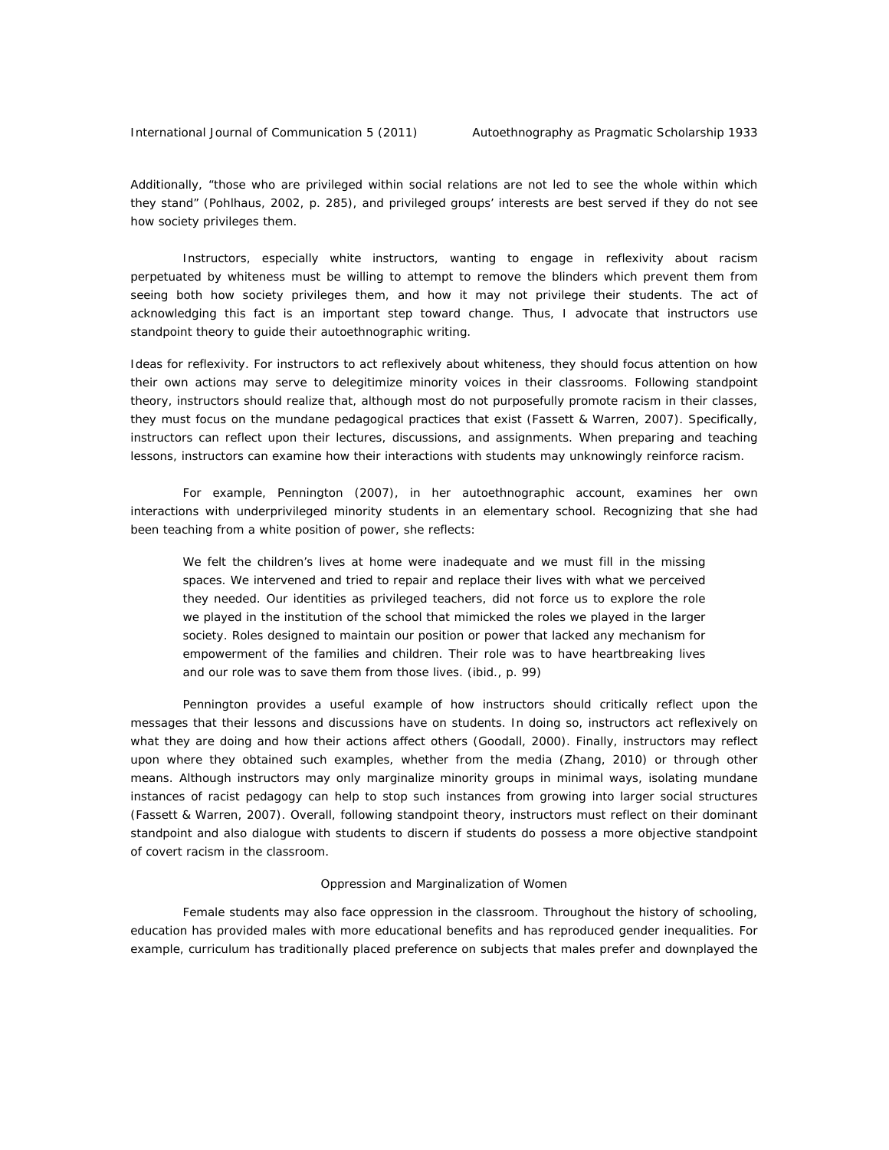Additionally, "those who are privileged within social relations are not led to see the whole within which they stand" (Pohlhaus, 2002, p. 285), and privileged groups' interests are best served if they do not see how society privileges them.

 Instructors, especially white instructors, wanting to engage in reflexivity about racism perpetuated by whiteness must be willing to attempt to remove the blinders which prevent them from seeing both how society privileges them, and how it may not privilege their students. The act of acknowledging this fact is an important step toward change. Thus, I advocate that instructors use standpoint theory to guide their autoethnographic writing.

*Ideas for reflexivity.* For instructors to act reflexively about whiteness, they should focus attention on how their own actions may serve to delegitimize minority voices in their classrooms. Following standpoint theory, instructors should realize that, although most do not purposefully promote racism in their classes, they must focus on the mundane pedagogical practices that exist (Fassett & Warren, 2007). Specifically, instructors can reflect upon their lectures, discussions, and assignments. When preparing and teaching lessons, instructors can examine how their interactions with students may unknowingly reinforce racism.

For example, Pennington (2007), in her autoethnographic account, examines her own interactions with underprivileged minority students in an elementary school. Recognizing that she had been teaching from a white position of power, she reflects:

We felt the children's lives at home were inadequate and we must fill in the missing spaces. We intervened and tried to repair and replace their lives with what we perceived they needed. Our identities as privileged teachers, did not force us to explore the role we played in the institution of the school that mimicked the roles we played in the larger society. Roles designed to maintain our position or power that lacked any mechanism for empowerment of the families and children. Their role was to have heartbreaking lives and our role was to save them from those lives. (ibid., p. 99)

Pennington provides a useful example of how instructors should critically reflect upon the messages that their lessons and discussions have on students. In doing so, instructors act reflexively on what they are doing and how their actions affect others (Goodall, 2000). Finally, instructors may reflect upon where they obtained such examples, whether from the media (Zhang, 2010) or through other means. Although instructors may only marginalize minority groups in minimal ways, isolating mundane instances of racist pedagogy can help to stop such instances from growing into larger social structures (Fassett & Warren, 2007). Overall, following standpoint theory, instructors must reflect on their dominant standpoint and also dialogue with students to discern if students do possess a more objective standpoint of covert racism in the classroom.

#### *Oppression and Marginalization of Women*

 Female students may also face oppression in the classroom. Throughout the history of schooling, education has provided males with more educational benefits and has reproduced gender inequalities. For example, curriculum has traditionally placed preference on subjects that males prefer and downplayed the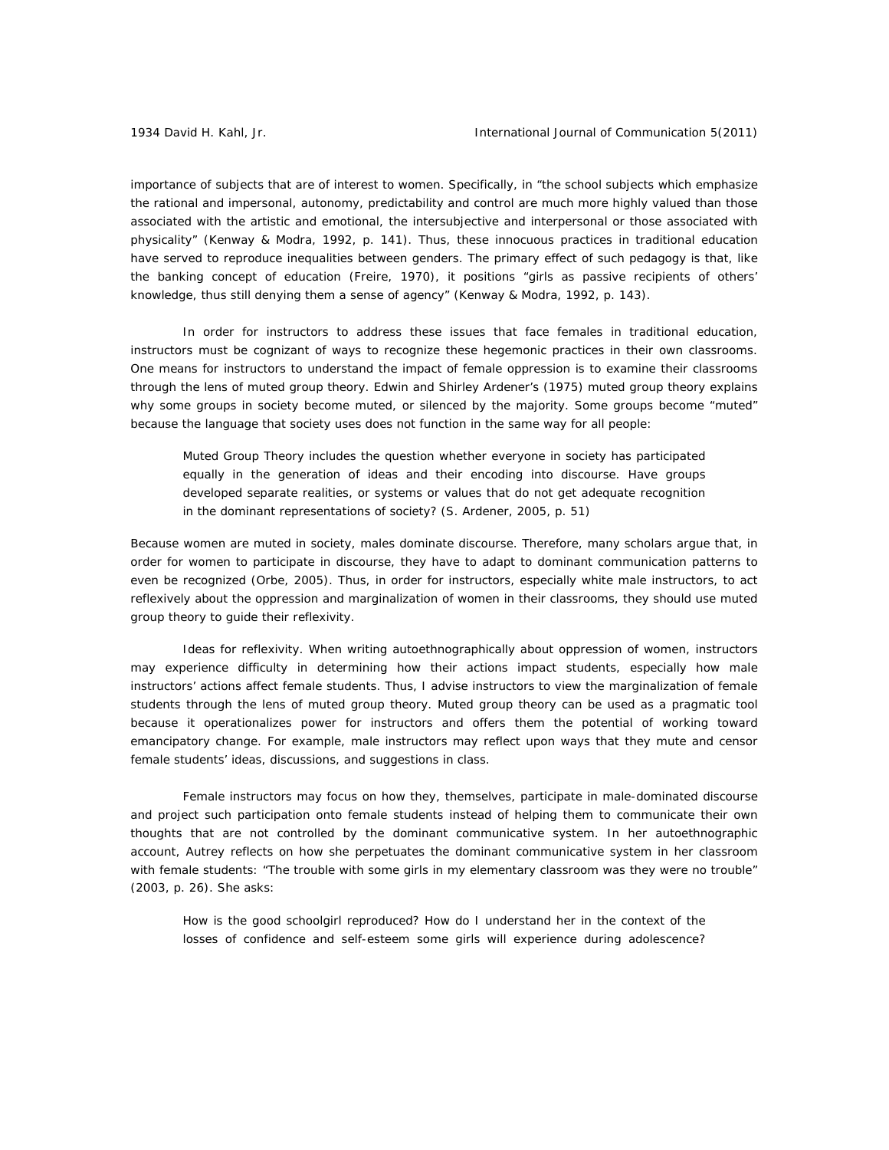importance of subjects that are of interest to women. Specifically, in "the school subjects which emphasize the rational and impersonal, autonomy, predictability and control are much more highly valued than those associated with the artistic and emotional, the intersubjective and interpersonal or those associated with physicality" (Kenway & Modra, 1992, p. 141). Thus, these innocuous practices in traditional education have served to reproduce inequalities between genders. The primary effect of such pedagogy is that, like the banking concept of education (Freire, 1970), it positions "girls as passive recipients of others' knowledge, thus still denying them a sense of agency" (Kenway & Modra, 1992, p. 143).

 In order for instructors to address these issues that face females in traditional education, instructors must be cognizant of ways to recognize these hegemonic practices in their own classrooms. One means for instructors to understand the impact of female oppression is to examine their classrooms through the lens of muted group theory. Edwin and Shirley Ardener's (1975) muted group theory explains why some groups in society become muted, or silenced by the majority. Some groups become "muted" because the language that society uses does not function in the same way for all people:

Muted Group Theory includes the question whether everyone in society has participated equally in the generation of ideas and their encoding into discourse. Have groups developed separate realities, or systems or values that do not get adequate recognition in the dominant representations of society? (S. Ardener, 2005, p. 51)

Because women are muted in society, males dominate discourse. Therefore, many scholars argue that, in order for women to participate in discourse, they have to adapt to dominant communication patterns to even be recognized (Orbe, 2005). Thus, in order for instructors, especially white male instructors, to act reflexively about the oppression and marginalization of women in their classrooms, they should use muted group theory to guide their reflexivity.

*Ideas for reflexivity.* When writing autoethnographically about oppression of women, instructors may experience difficulty in determining how their actions impact students, especially how male instructors' actions affect female students. Thus, I advise instructors to view the marginalization of female students through the lens of muted group theory. Muted group theory can be used as a pragmatic tool because it operationalizes power for instructors and offers them the potential of working toward emancipatory change. For example, male instructors may reflect upon ways that they mute and censor female students' ideas, discussions, and suggestions in class.

Female instructors may focus on how they, themselves, participate in male-dominated discourse and project such participation onto female students instead of helping them to communicate their own thoughts that are not controlled by the dominant communicative system. In her autoethnographic account, Autrey reflects on how she perpetuates the dominant communicative system in her classroom with female students: "The trouble with some girls in my elementary classroom was they were no trouble" (2003, p. 26). She asks:

How is the good schoolgirl reproduced? How do I understand her in the context of the losses of confidence and self-esteem some girls will experience during adolescence?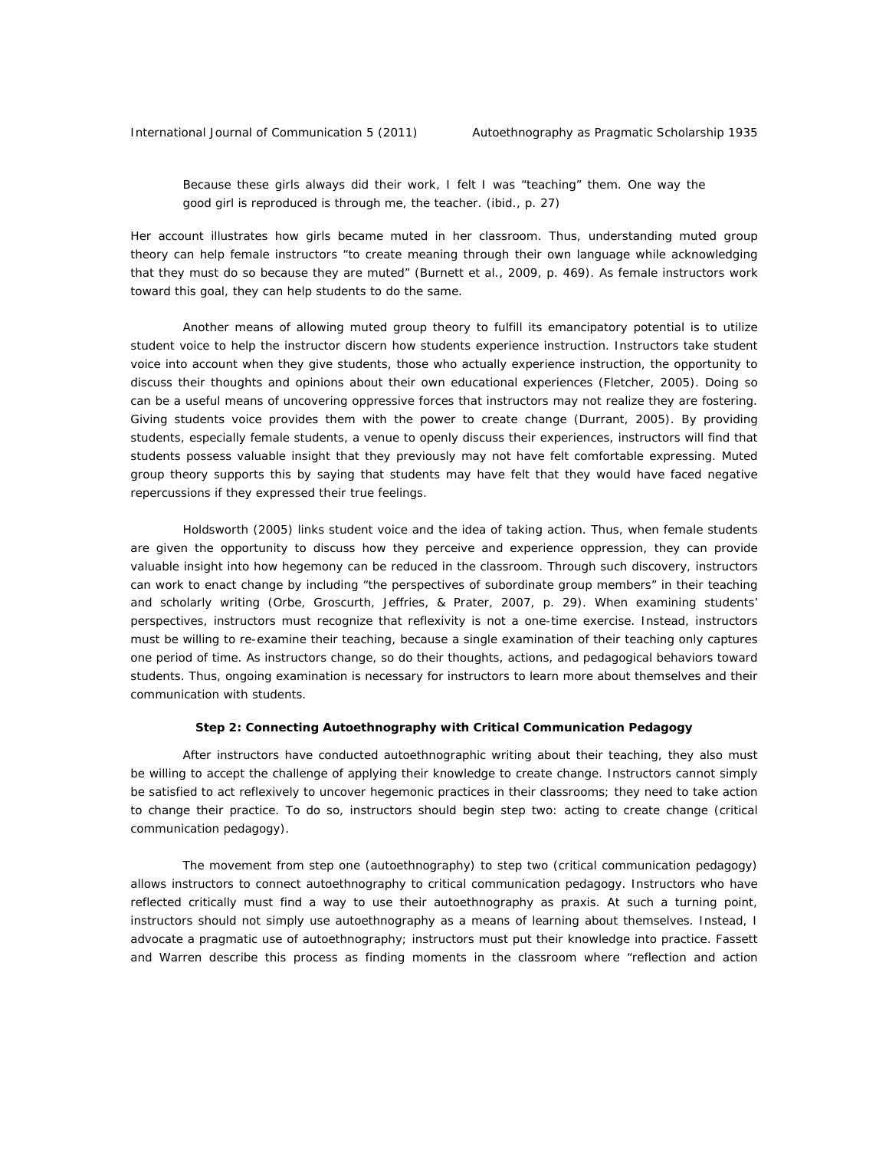Because these girls always did their work, I felt I was "teaching" them. One way the good girl is reproduced is through me, the teacher. (ibid., p. 27)

Her account illustrates how girls became muted in her classroom. Thus, understanding muted group theory can help female instructors "to create meaning through their own language while acknowledging that they must do so because they are muted" (Burnett et al., 2009, p. 469). As female instructors work toward this goal, they can help students to do the same.

Another means of allowing muted group theory to fulfill its emancipatory potential is to utilize student voice to help the instructor discern how students experience instruction. Instructors take student voice into account when they give students, those who actually experience instruction, the opportunity to discuss their thoughts and opinions about their own educational experiences (Fletcher, 2005). Doing so can be a useful means of uncovering oppressive forces that instructors may not realize they are fostering. Giving students voice provides them with the power to create change (Durrant, 2005). By providing students, especially female students, a venue to openly discuss their experiences, instructors will find that students possess valuable insight that they previously may not have felt comfortable expressing. Muted group theory supports this by saying that students may have felt that they would have faced negative repercussions if they expressed their true feelings.

Holdsworth (2005) links student voice and the idea of taking action. Thus, when female students are given the opportunity to discuss how they perceive and experience oppression, they can provide valuable insight into how hegemony can be reduced in the classroom. Through such discovery, instructors can work to enact change by including "the perspectives of subordinate group members" in their teaching and scholarly writing (Orbe, Groscurth, Jeffries, & Prater, 2007, p. 29). When examining students' perspectives, instructors must recognize that reflexivity is not a one-time exercise. Instead, instructors must be willing to re-examine their teaching, because a single examination of their teaching only captures one period of time. As instructors change, so do their thoughts, actions, and pedagogical behaviors toward students. Thus, ongoing examination is necessary for instructors to learn more about themselves and their communication with students.

## **Step 2: Connecting Autoethnography with Critical Communication Pedagogy**

After instructors have conducted autoethnographic writing about their teaching, they also must be willing to accept the challenge of applying their knowledge to create change. Instructors cannot simply be satisfied to act reflexively to uncover hegemonic practices in their classrooms; they need to take action to change their practice. To do so, instructors should begin step two: acting to create change (critical communication pedagogy).

The movement from step one (autoethnography) to step two (critical communication pedagogy) allows instructors to connect autoethnography to critical communication pedagogy. Instructors who have reflected critically must find a way to use their autoethnography as praxis. At such a turning point, instructors should not simply use autoethnography as a means of learning about themselves. Instead, I advocate a pragmatic use of autoethnography; instructors must put their knowledge into practice. Fassett and Warren describe this process as finding moments in the classroom where "reflection and action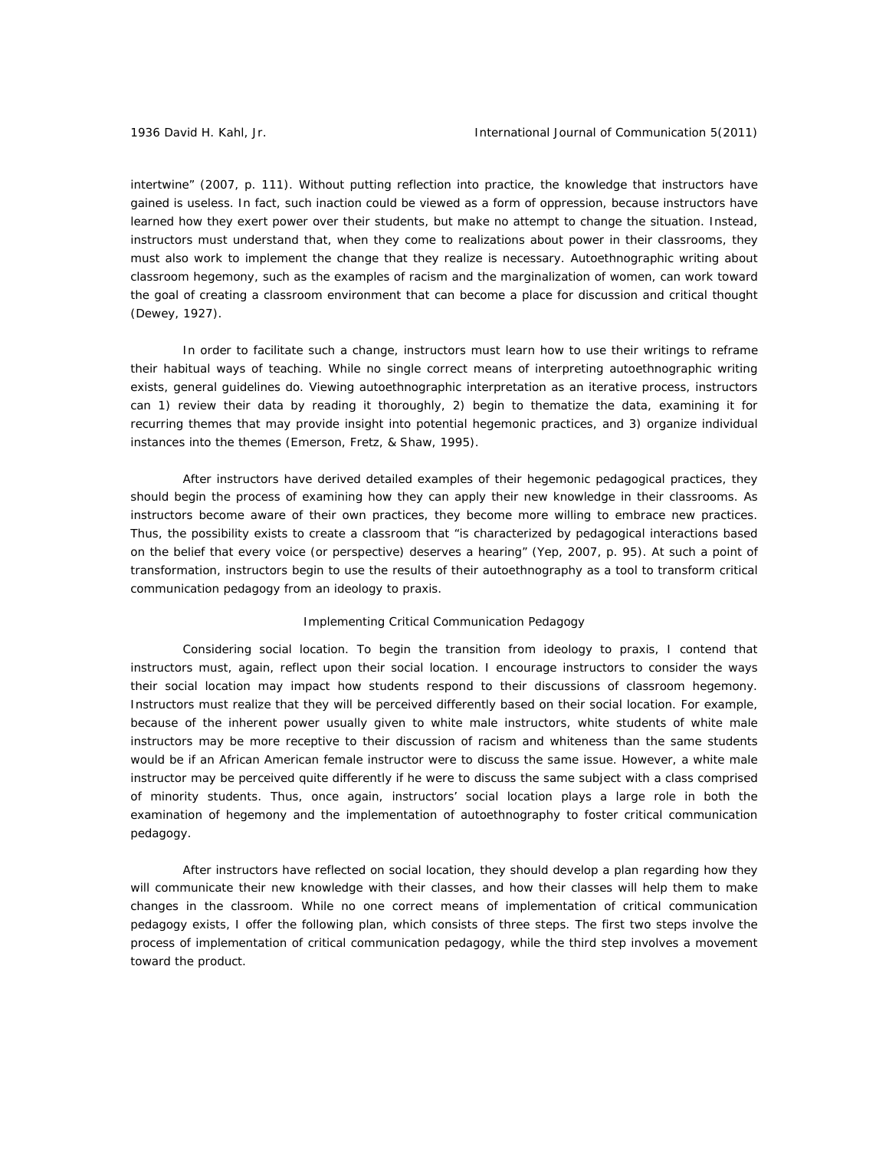intertwine" (2007, p. 111). Without putting reflection into practice, the knowledge that instructors have gained is useless. In fact, such inaction could be viewed as a form of oppression, because instructors have learned how they exert power over their students, but make no attempt to change the situation. Instead, instructors must understand that, when they come to realizations about power in their classrooms, they must also work to implement the change that they realize is necessary. Autoethnographic writing about classroom hegemony, such as the examples of racism and the marginalization of women, can work toward the goal of creating a classroom environment that can become a place for discussion and critical thought (Dewey, 1927).

In order to facilitate such a change, instructors must learn how to use their writings to reframe their habitual ways of teaching. While no single correct means of interpreting autoethnographic writing exists, general guidelines do. Viewing autoethnographic interpretation as an iterative process, instructors can 1) review their data by reading it thoroughly, 2) begin to thematize the data, examining it for recurring themes that may provide insight into potential hegemonic practices, and 3) organize individual instances into the themes (Emerson, Fretz, & Shaw, 1995).

After instructors have derived detailed examples of their hegemonic pedagogical practices, they should begin the process of examining how they can apply their new knowledge in their classrooms. As instructors become aware of their own practices, they become more willing to embrace new practices. Thus, the possibility exists to create a classroom that "is characterized by pedagogical interactions based on the belief that every voice (or perspective) deserves a hearing" (Yep, 2007, p. 95). At such a point of transformation, instructors begin to use the results of their autoethnography as a tool to transform critical communication pedagogy from an ideology to praxis.

## *Implementing Critical Communication Pedagogy*

*Considering social location.* To begin the transition from ideology to praxis, I contend that instructors must, again, reflect upon their social location. I encourage instructors to consider the ways their social location may impact how students respond to their discussions of classroom hegemony. Instructors must realize that they will be perceived differently based on their social location. For example, because of the inherent power usually given to white male instructors, white students of white male instructors may be more receptive to their discussion of racism and whiteness than the same students would be if an African American female instructor were to discuss the same issue. However, a white male instructor may be perceived quite differently if he were to discuss the same subject with a class comprised of minority students. Thus, once again, instructors' social location plays a large role in both the examination of hegemony and the implementation of autoethnography to foster critical communication pedagogy.

After instructors have reflected on social location, they should develop a plan regarding how they will communicate their new knowledge with their classes, and how their classes will help them to make changes in the classroom. While no one correct means of implementation of critical communication pedagogy exists, I offer the following plan, which consists of three steps. The first two steps involve the process of implementation of critical communication pedagogy, while the third step involves a movement toward the product.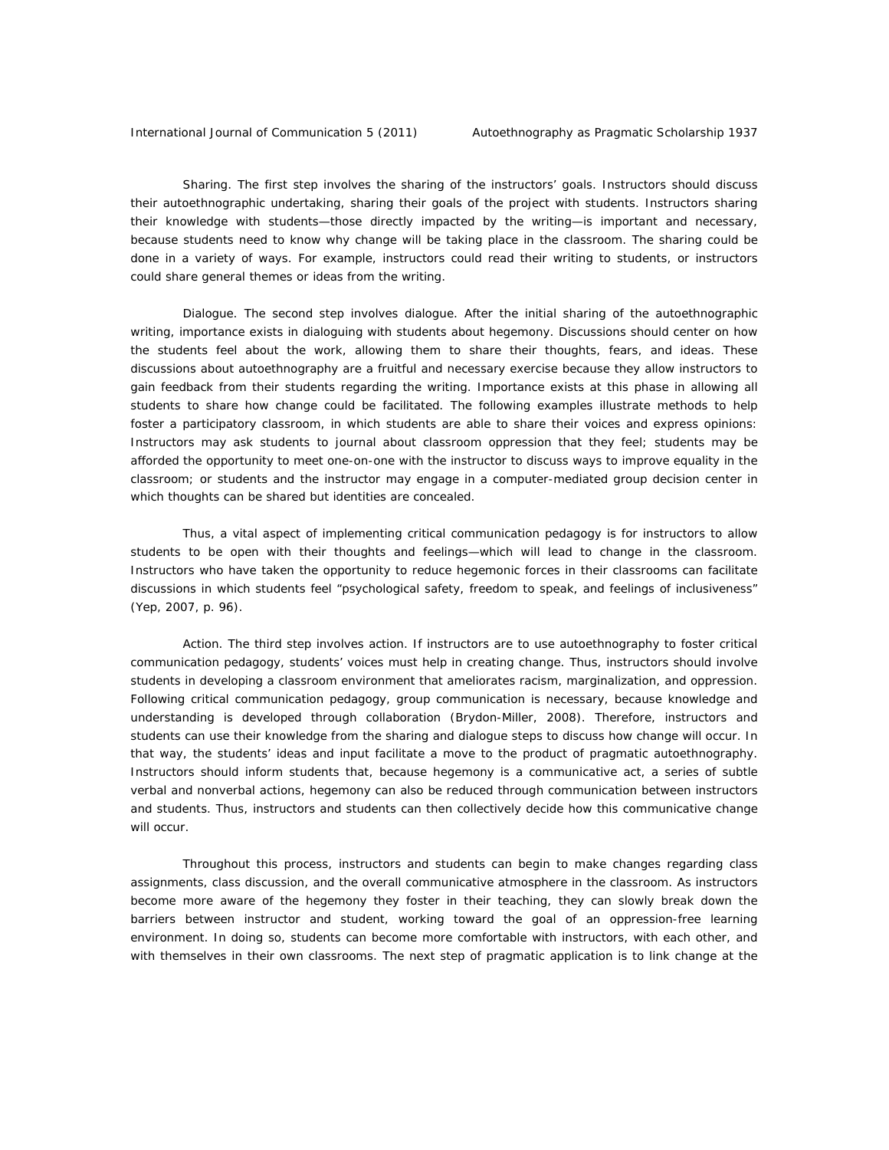*Sharing.* The first step involves the sharing of the instructors' goals. Instructors should discuss their autoethnographic undertaking, sharing their goals of the project with students. Instructors sharing their knowledge with students—those directly impacted by the writing—is important and necessary, because students need to know why change will be taking place in the classroom. The sharing could be done in a variety of ways. For example, instructors could read their writing to students, or instructors could share general themes or ideas from the writing.

*Dialogue.* The second step involves dialogue. After the initial sharing of the autoethnographic writing, importance exists in dialoguing with students about hegemony. Discussions should center on how the students feel about the work, allowing them to share their thoughts, fears, and ideas. These discussions about autoethnography are a fruitful and necessary exercise because they allow instructors to gain feedback from their students regarding the writing. Importance exists at this phase in allowing all students to share how change could be facilitated. The following examples illustrate methods to help foster a participatory classroom, in which students are able to share their voices and express opinions: Instructors may ask students to journal about classroom oppression that they feel; students may be afforded the opportunity to meet one-on-one with the instructor to discuss ways to improve equality in the classroom; or students and the instructor may engage in a computer-mediated group decision center in which thoughts can be shared but identities are concealed.

Thus, a vital aspect of implementing critical communication pedagogy is for instructors to allow students to be open with their thoughts and feelings—which will lead to change in the classroom. Instructors who have taken the opportunity to reduce hegemonic forces in their classrooms can facilitate discussions in which students feel "psychological safety, freedom to speak, and feelings of inclusiveness" (Yep, 2007, p. 96).

*Action.* The third step involves action. If instructors are to use autoethnography to foster critical communication pedagogy, students' voices must help in creating change. Thus, instructors should involve students in developing a classroom environment that ameliorates racism, marginalization, and oppression. Following critical communication pedagogy, group communication is necessary, because knowledge and understanding is developed through collaboration (Brydon-Miller, 2008). Therefore, instructors and students can use their knowledge from the sharing and dialogue steps to discuss how change will occur. In that way, the students' ideas and input facilitate a move to the product of pragmatic autoethnography. Instructors should inform students that, because hegemony is a communicative act, a series of subtle verbal and nonverbal actions, hegemony can also be reduced through communication between instructors and students. Thus, instructors and students can then collectively decide how this communicative change will occur.

Throughout this process, instructors and students can begin to make changes regarding class assignments, class discussion, and the overall communicative atmosphere in the classroom. As instructors become more aware of the hegemony they foster in their teaching, they can slowly break down the barriers between instructor and student, working toward the goal of an oppression-free learning environment. In doing so, students can become more comfortable with instructors, with each other, and with themselves in their own classrooms. The next step of pragmatic application is to link change at the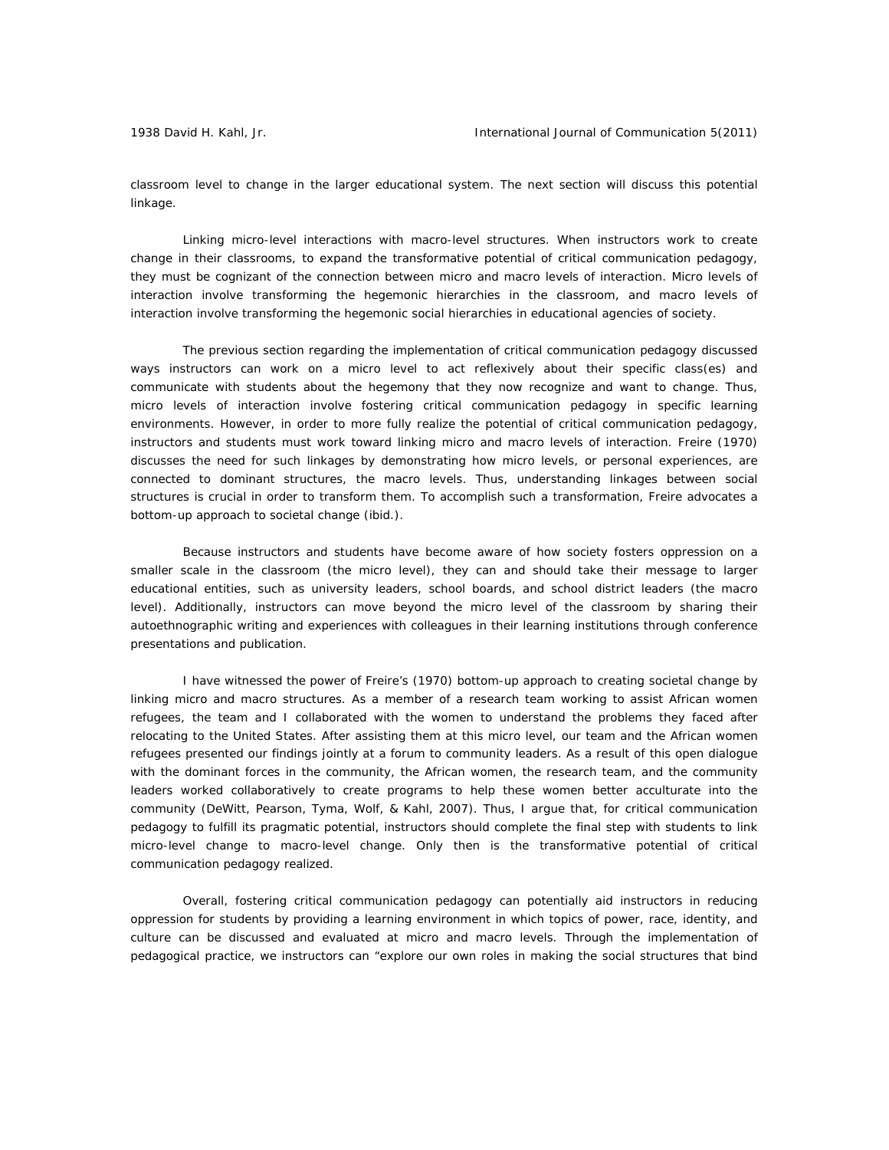classroom level to change in the larger educational system. The next section will discuss this potential linkage.

*Linking micro-level interactions with macro-level structures.* When instructors work to create change in their classrooms, to expand the transformative potential of critical communication pedagogy, they must be cognizant of the connection between micro and macro levels of interaction. Micro levels of interaction involve transforming the hegemonic hierarchies in the classroom, and macro levels of interaction involve transforming the hegemonic social hierarchies in educational agencies of society.

The previous section regarding the implementation of critical communication pedagogy discussed ways instructors can work on a micro level to act reflexively about their specific class(es) and communicate with students about the hegemony that they now recognize and want to change. Thus, micro levels of interaction involve fostering critical communication pedagogy in specific learning environments. However, in order to more fully realize the potential of critical communication pedagogy, instructors and students must work toward linking micro and macro levels of interaction. Freire (1970) discusses the need for such linkages by demonstrating how micro levels, or personal experiences, are connected to dominant structures, the macro levels. Thus, understanding linkages between social structures is crucial in order to transform them. To accomplish such a transformation, Freire advocates a bottom-up approach to societal change (ibid.).

Because instructors and students have become aware of how society fosters oppression on a smaller scale in the classroom (the micro level), they can and should take their message to larger educational entities, such as university leaders, school boards, and school district leaders (the macro level). Additionally, instructors can move beyond the micro level of the classroom by sharing their autoethnographic writing and experiences with colleagues in their learning institutions through conference presentations and publication.

I have witnessed the power of Freire's (1970) bottom-up approach to creating societal change by linking micro and macro structures. As a member of a research team working to assist African women refugees, the team and I collaborated with the women to understand the problems they faced after relocating to the United States. After assisting them at this micro level, our team and the African women refugees presented our findings jointly at a forum to community leaders. As a result of this open dialogue with the dominant forces in the community, the African women, the research team, and the community leaders worked collaboratively to create programs to help these women better acculturate into the community (DeWitt, Pearson, Tyma, Wolf, & Kahl, 2007). Thus, I argue that, for critical communication pedagogy to fulfill its pragmatic potential, instructors should complete the final step with students to link micro-level change to macro-level change. Only then is the transformative potential of critical communication pedagogy realized.

Overall, fostering critical communication pedagogy can potentially aid instructors in reducing oppression for students by providing a learning environment in which topics of power, race, identity, and culture can be discussed and evaluated at micro and macro levels. Through the implementation of pedagogical practice, we instructors can "explore our own roles in making the social structures that bind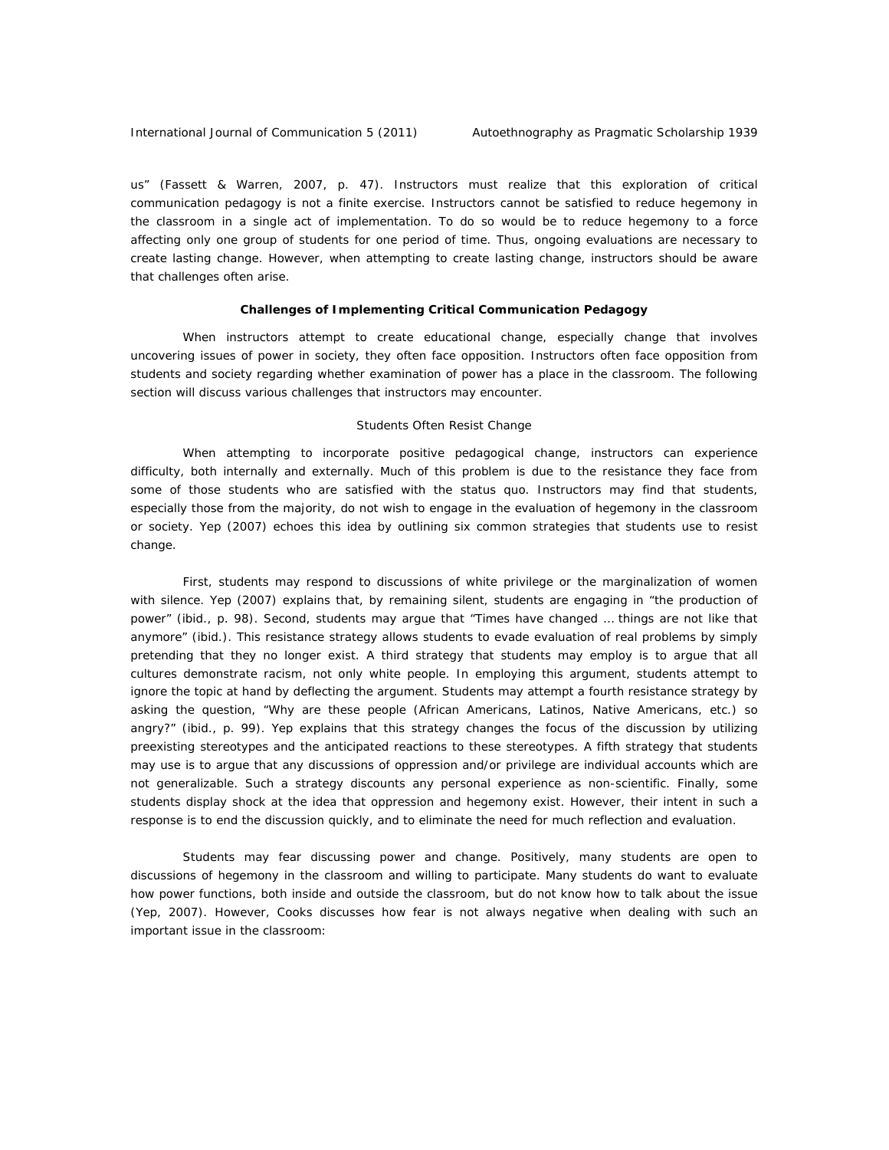us" (Fassett & Warren, 2007, p. 47). Instructors must realize that this exploration of critical communication pedagogy is not a finite exercise. Instructors cannot be satisfied to reduce hegemony in the classroom in a single act of implementation. To do so would be to reduce hegemony to a force affecting only one group of students for one period of time. Thus, ongoing evaluations are necessary to create lasting change. However, when attempting to create lasting change, instructors should be aware that challenges often arise.

## **Challenges of Implementing Critical Communication Pedagogy**

When instructors attempt to create educational change, especially change that involves uncovering issues of power in society, they often face opposition. Instructors often face opposition from students and society regarding whether examination of power has a place in the classroom. The following section will discuss various challenges that instructors may encounter.

#### *Students Often Resist Change*

When attempting to incorporate positive pedagogical change, instructors can experience difficulty, both internally and externally. Much of this problem is due to the resistance they face from some of those students who are satisfied with the status quo. Instructors may find that students, especially those from the majority, do not wish to engage in the evaluation of hegemony in the classroom or society. Yep (2007) echoes this idea by outlining six common strategies that students use to resist change.

First, students may respond to discussions of white privilege or the marginalization of women with silence. Yep (2007) explains that, by remaining silent, students are engaging in "the production of power" (ibid., p. 98). Second, students may argue that "Times have changed … things are not like that anymore" (ibid.). This resistance strategy allows students to evade evaluation of real problems by simply pretending that they no longer exist. A third strategy that students may employ is to argue that all cultures demonstrate racism, not only white people. In employing this argument, students attempt to ignore the topic at hand by deflecting the argument. Students may attempt a fourth resistance strategy by asking the question, "Why are these people (African Americans, Latinos, Native Americans, etc.) so angry?" (ibid., p. 99). Yep explains that this strategy changes the focus of the discussion by utilizing preexisting stereotypes and the anticipated reactions to these stereotypes. A fifth strategy that students may use is to argue that any discussions of oppression and/or privilege are individual accounts which are not generalizable. Such a strategy discounts any personal experience as non-scientific. Finally, some students display shock at the idea that oppression and hegemony exist. However, their intent in such a response is to end the discussion quickly, and to eliminate the need for much reflection and evaluation.

*Students may fear discussing power and change.* Positively, many students are open to discussions of hegemony in the classroom and willing to participate. Many students do want to evaluate how power functions, both inside and outside the classroom, but do not know how to talk about the issue (Yep, 2007). However, Cooks discusses how fear is not always negative when dealing with such an important issue in the classroom: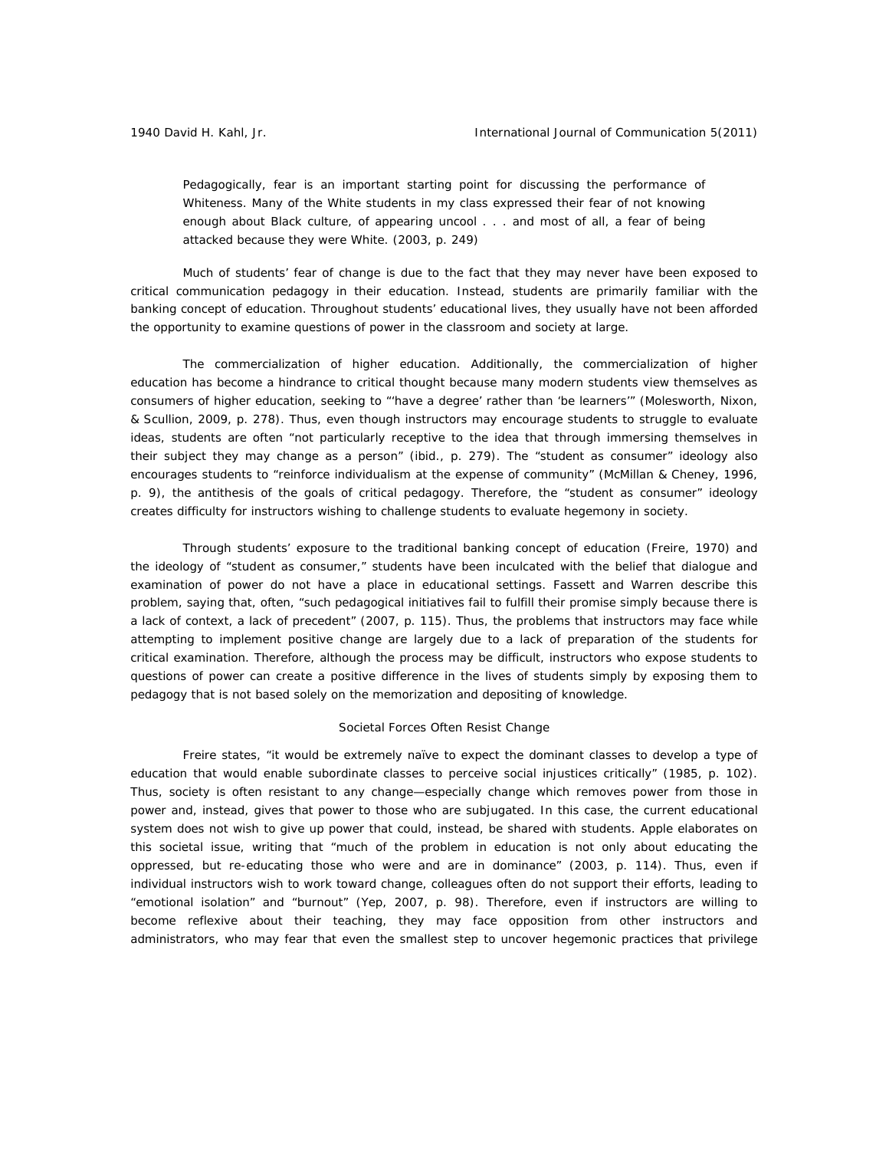Pedagogically, fear is an important starting point for discussing the performance of Whiteness. Many of the White students in my class expressed their fear of not knowing enough about Black culture, of appearing uncool . . . and most of all, a fear of being attacked because they were White. (2003, p. 249)

Much of students' fear of change is due to the fact that they may never have been exposed to critical communication pedagogy in their education. Instead, students are primarily familiar with the banking concept of education. Throughout students' educational lives, they usually have not been afforded the opportunity to examine questions of power in the classroom and society at large.

*The commercialization of higher education.* Additionally, the commercialization of higher education has become a hindrance to critical thought because many modern students view themselves as consumers of higher education, seeking to "'*have* a degree' rather than '*be* learners'" (Molesworth, Nixon, & Scullion, 2009, p. 278). Thus, even though instructors may encourage students to struggle to evaluate ideas, students are often "not particularly receptive to the idea that through immersing themselves in their subject they may change as a person" (ibid., p. 279). The "student as consumer" ideology also encourages students to "reinforce individualism at the expense of community" (McMillan & Cheney, 1996, p. 9), the antithesis of the goals of critical pedagogy. Therefore, the "student as consumer" ideology creates difficulty for instructors wishing to challenge students to evaluate hegemony in society.

Through students' exposure to the traditional banking concept of education (Freire, 1970) and the ideology of "student as consumer," students have been inculcated with the belief that dialogue and examination of power do not have a place in educational settings. Fassett and Warren describe this problem, saying that, often, "such pedagogical initiatives fail to fulfill their promise simply because there is a lack of context, a lack of precedent" (2007, p. 115). Thus, the problems that instructors may face while attempting to implement positive change are largely due to a lack of preparation of the students for critical examination. Therefore, although the process may be difficult, instructors who expose students to questions of power can create a positive difference in the lives of students simply by exposing them to pedagogy that is not based solely on the memorization and depositing of knowledge.

#### *Societal Forces Often Resist Change*

Freire states, "it would be extremely naïve to expect the dominant classes to develop a type of education that would enable subordinate classes to perceive social injustices critically" (1985, p. 102). Thus, society is often resistant to any change—especially change which removes power from those in power and, instead, gives that power to those who are subjugated. In this case, the current educational system does not wish to give up power that could, instead, be shared with students. Apple elaborates on this societal issue, writing that "much of the problem in education is not only about educating the oppressed, but re-educating those who were and are in dominance" (2003, p. 114). Thus, even if individual instructors wish to work toward change, colleagues often do not support their efforts, leading to "emotional isolation" and "burnout" (Yep, 2007, p. 98). Therefore, even if instructors are willing to become reflexive about their teaching, they may face opposition from other instructors and administrators, who may fear that even the smallest step to uncover hegemonic practices that privilege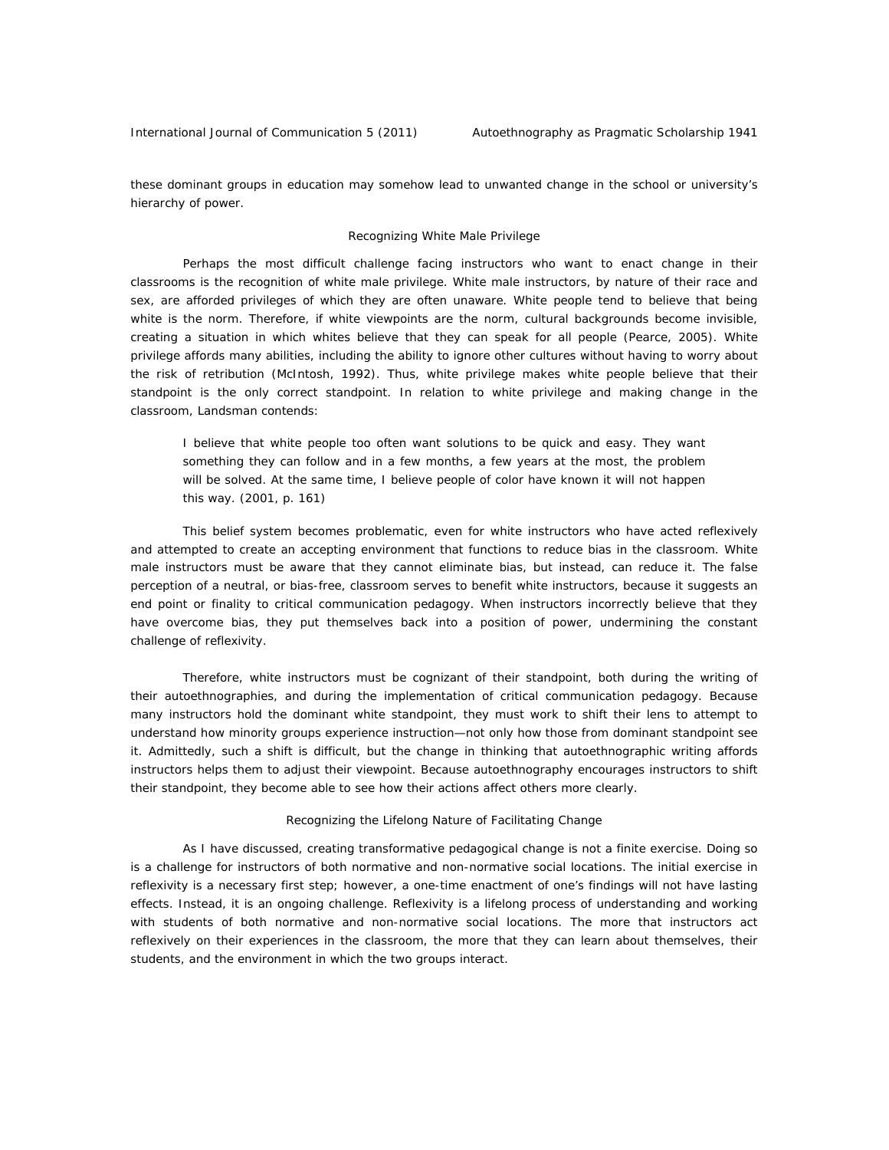these dominant groups in education may somehow lead to unwanted change in the school or university's hierarchy of power.

#### *Recognizing White Male Privilege*

Perhaps the most difficult challenge facing instructors who want to enact change in their classrooms is the recognition of white male privilege. White male instructors, by nature of their race and sex, are afforded privileges of which they are often unaware. White people tend to believe that being white is the norm. Therefore, if white viewpoints are the norm, cultural backgrounds become invisible, creating a situation in which whites believe that they can speak for all people (Pearce, 2005). White privilege affords many abilities, including the ability to ignore other cultures without having to worry about the risk of retribution (McIntosh, 1992). Thus, white privilege makes white people believe that their standpoint is the only correct standpoint. In relation to white privilege and making change in the classroom, Landsman contends:

I believe that white people too often want solutions to be quick and easy. They want something they can follow and in a few months, a few years at the most, the problem will be solved. At the same time, I believe people of color have known it will not happen this way. (2001, p. 161)

 This belief system becomes problematic, even for white instructors who have acted reflexively and attempted to create an accepting environment that functions to reduce bias in the classroom. White male instructors must be aware that they cannot eliminate bias, but instead, can reduce it. The false perception of a neutral, or bias-free, classroom serves to benefit white instructors, because it suggests an end point or finality to critical communication pedagogy. When instructors incorrectly believe that they have overcome bias, they put themselves back into a position of power, undermining the constant challenge of reflexivity.

Therefore, white instructors must be cognizant of their standpoint, both during the writing of their autoethnographies, and during the implementation of critical communication pedagogy. Because many instructors hold the dominant white standpoint, they must work to shift their lens to attempt to understand how minority groups experience instruction—not only how those from dominant standpoint see it. Admittedly, such a shift is difficult, but the change in thinking that autoethnographic writing affords instructors helps them to adjust their viewpoint. Because autoethnography encourages instructors to shift their standpoint, they become able to see how their actions affect others more clearly.

#### *Recognizing the Lifelong Nature of Facilitating Change*

As I have discussed, creating transformative pedagogical change is not a finite exercise. Doing so is a challenge for instructors of both normative and non-normative social locations. The initial exercise in reflexivity is a necessary first step; however, a one-time enactment of one's findings will not have lasting effects. Instead, it is an ongoing challenge. Reflexivity is a lifelong process of understanding and working with students of both normative and non-normative social locations. The more that instructors act reflexively on their experiences in the classroom, the more that they can learn about themselves, their students, and the environment in which the two groups interact.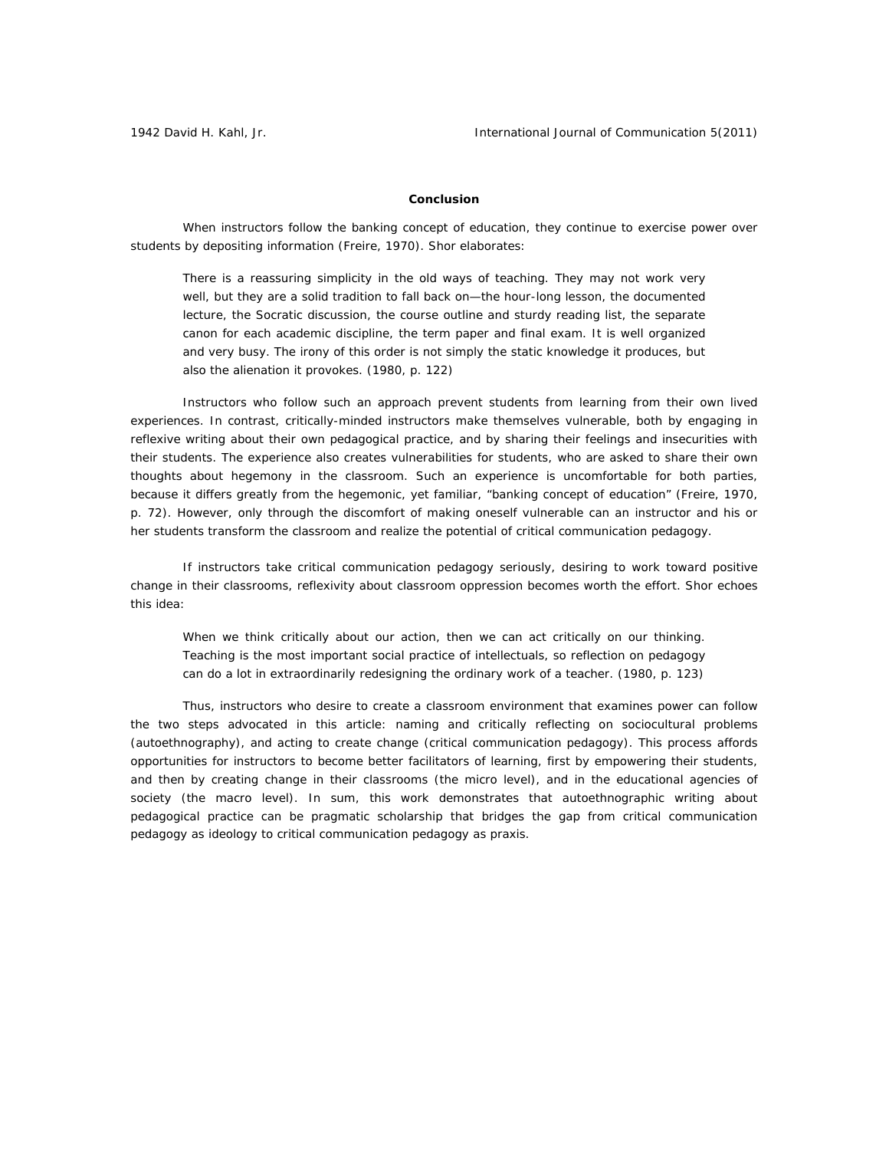### **Conclusion**

When instructors follow the banking concept of education, they continue to exercise power over students by depositing information (Freire, 1970). Shor elaborates:

There is a reassuring simplicity in the old ways of teaching. They may not work very well, but they are a solid tradition to fall back on—the hour-long lesson, the documented lecture, the Socratic discussion, the course outline and sturdy reading list, the separate canon for each academic discipline, the term paper and final exam. It is well organized and very busy. The irony of this order is not simply the static knowledge it produces, but also the alienation it provokes. (1980, p. 122)

Instructors who follow such an approach prevent students from learning from their own lived experiences. In contrast, critically-minded instructors make themselves vulnerable, both by engaging in reflexive writing about their own pedagogical practice, and by sharing their feelings and insecurities with their students. The experience also creates vulnerabilities for students, who are asked to share their own thoughts about hegemony in the classroom. Such an experience is uncomfortable for both parties, because it differs greatly from the hegemonic, yet familiar, "banking concept of education" (Freire, 1970, p. 72). However, only through the discomfort of making oneself vulnerable can an instructor and his or her students transform the classroom and realize the potential of critical communication pedagogy.

If instructors take critical communication pedagogy seriously, desiring to work toward positive change in their classrooms, reflexivity about classroom oppression becomes worth the effort. Shor echoes this idea:

When we think critically about our action, then we can act critically on our thinking. Teaching is the most important social practice of intellectuals, so reflection on pedagogy can do a lot in extraordinarily redesigning the ordinary work of a teacher. (1980, p. 123)

Thus, instructors who desire to create a classroom environment that examines power can follow the two steps advocated in this article: naming and critically reflecting on sociocultural problems (autoethnography), and acting to create change (critical communication pedagogy). This process affords opportunities for instructors to become better facilitators of learning, first by empowering their students, and then by creating change in their classrooms (the micro level), and in the educational agencies of society (the macro level). In sum, this work demonstrates that autoethnographic writing about pedagogical practice can be pragmatic scholarship that bridges the gap from critical communication pedagogy as ideology to critical communication pedagogy as praxis.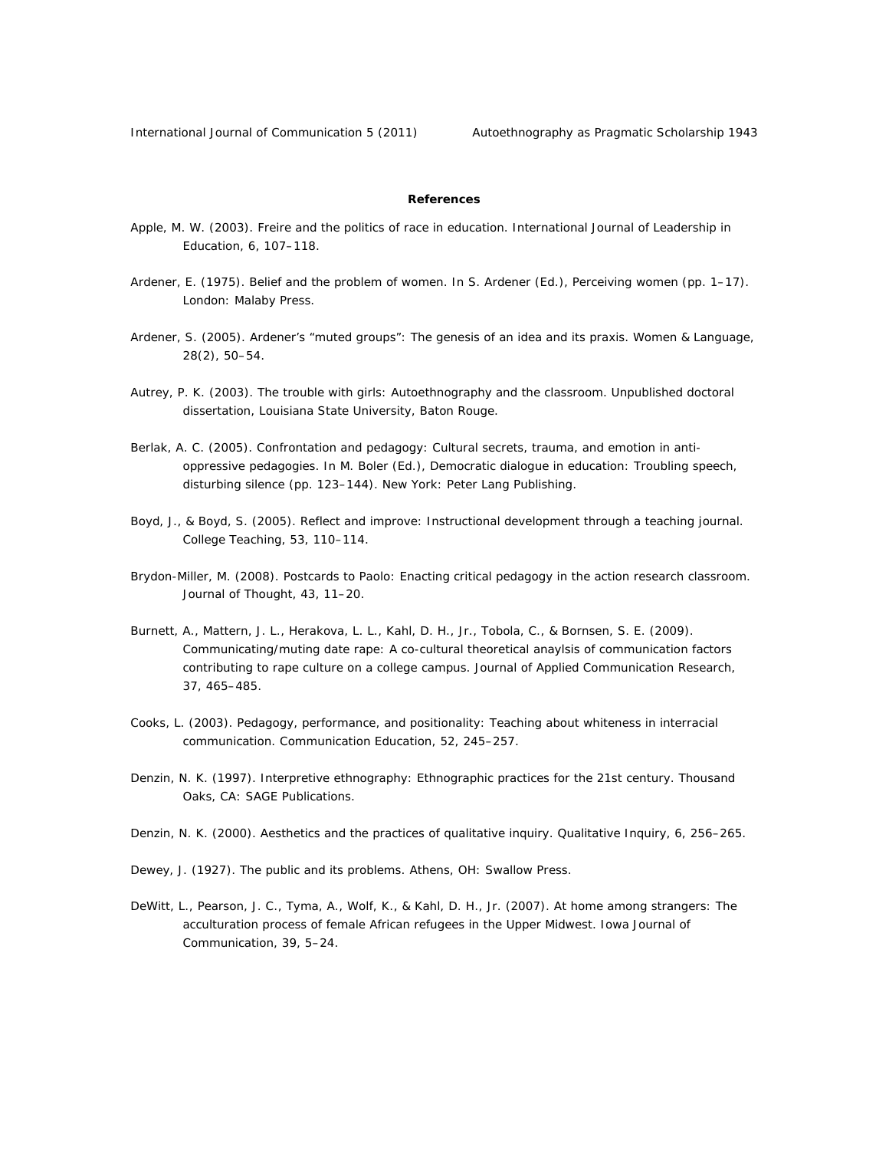### **References**

- Apple, M. W. (2003). Freire and the politics of race in education. *International Journal of Leadership in Education, 6*, 107–118.
- Ardener, E. (1975). Belief and the problem of women. In S. Ardener (Ed.), *Perceiving women* (pp. 1–17). London: Malaby Press.
- Ardener, S. (2005). Ardener's "muted groups": The genesis of an idea and its praxis. *Women & Language, 28*(2), 50–54.
- Autrey, P. K. (2003). *The trouble with girls: Autoethnography and the classroom.* Unpublished doctoral dissertation, Louisiana State University, Baton Rouge.
- Berlak, A. C. (2005). Confrontation and pedagogy: Cultural secrets, trauma, and emotion in antioppressive pedagogies. In M. Boler (Ed.), *Democratic dialogue in education: Troubling speech, disturbing silence* (pp. 123–144). New York: Peter Lang Publishing.
- Boyd, J., & Boyd, S. (2005). Reflect and improve: Instructional development through a teaching journal. *College Teaching, 53*, 110–114.
- Brydon-Miller, M. (2008). Postcards to Paolo: Enacting critical pedagogy in the action research classroom. *Journal of Thought, 43,* 11–20.
- Burnett, A., Mattern, J. L., Herakova, L. L., Kahl, D. H., Jr., Tobola, C., & Bornsen, S. E. (2009). Communicating/muting date rape: A co-cultural theoretical anaylsis of communication factors contributing to rape culture on a college campus. *Journal of Applied Communication Research*, *37*, 465–485.
- Cooks, L. (2003). Pedagogy, performance, and positionality: Teaching about whiteness in interracial communication. *Communication Education, 52*, 245–257.
- Denzin, N. K. (1997). *Interpretive ethnography: Ethnographic practices for the 21st century*. Thousand Oaks, CA: SAGE Publications.
- Denzin, N. K. (2000). Aesthetics and the practices of qualitative inquiry. *Qualitative Inquiry, 6*, 256–265.
- Dewey, J. (1927). *The public and its problems*. Athens, OH: Swallow Press.
- DeWitt, L., Pearson, J. C., Tyma, A., Wolf, K., & Kahl, D. H., Jr. (2007). At home among strangers: The acculturation process of female African refugees in the Upper Midwest. *Iowa Journal of Communication, 39*, 5–24.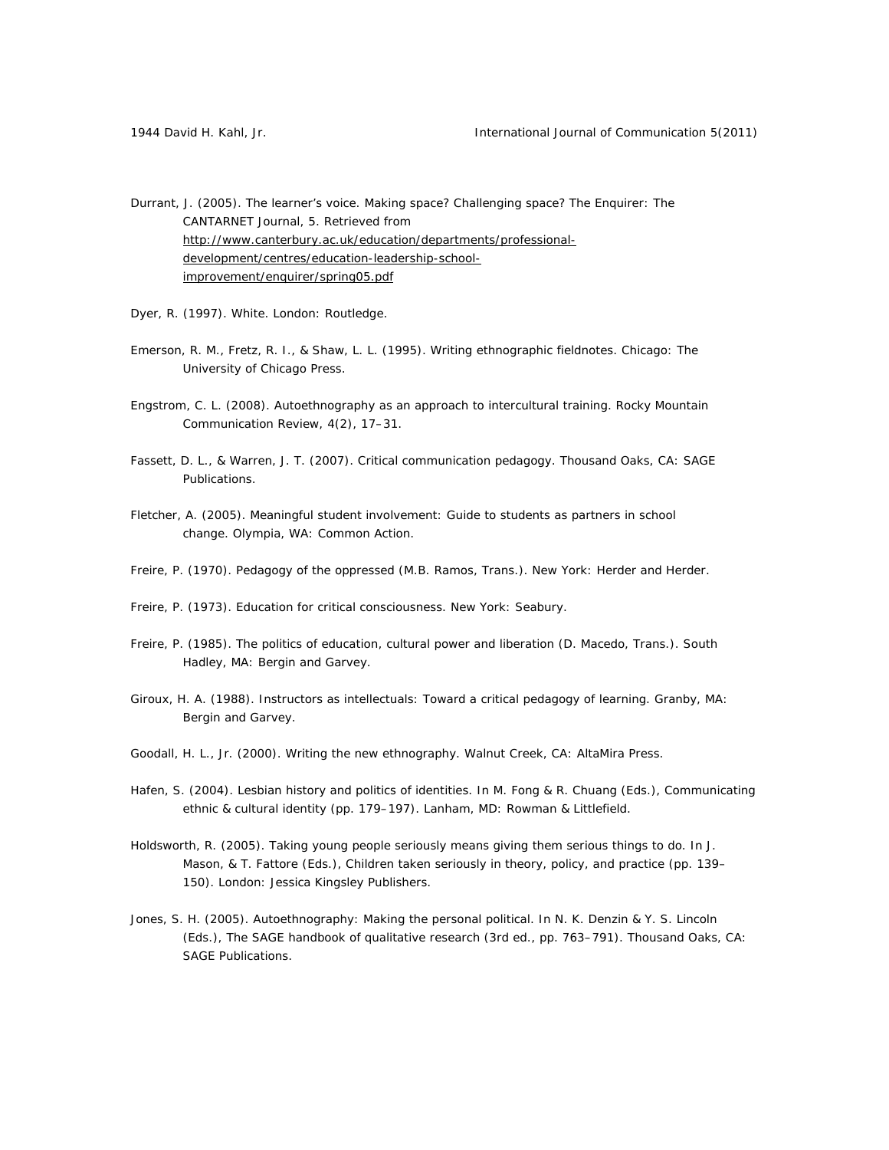Durrant, J. (2005). The learner's voice. Making space? Challenging space? *The Enquirer: The CANTARNET Journal, 5*. Retrieved from http://www.canterbury.ac.uk/education/departments/professionaldevelopment/centres/education-leadership-schoolimprovement/enquirer/spring05.pdf

- Dyer, R. (1997). *White*. London: Routledge.
- Emerson, R. M., Fretz, R. I., & Shaw, L. L. (1995). *Writing ethnographic fieldnotes.* Chicago: The University of Chicago Press.
- Engstrom, C. L. (2008). Autoethnography as an approach to intercultural training. *Rocky Mountain Communication Review, 4*(2), 17–31.
- Fassett, D. L., & Warren, J. T. (2007). *Critical communication pedagogy*. Thousand Oaks, CA: SAGE Publications.
- Fletcher, A. (2005). *Meaningful student involvement: Guide to students as partners in school change.* Olympia, WA: Common Action.
- Freire, P. (1970). *Pedagogy of the oppressed* (M.B. Ramos, Trans.). New York: Herder and Herder.
- Freire, P. (1973). *Education for critical consciousness*. New York: Seabury.
- Freire, P. (1985). *The politics of education, cultural power and liberation* (D. Macedo, Trans.). South Hadley, MA: Bergin and Garvey.
- Giroux, H. A. (1988). *Instructors as intellectuals: Toward a critical pedagogy of learning*. Granby, MA: Bergin and Garvey.
- Goodall, H. L., Jr. (2000). *Writing the new ethnography*. Walnut Creek, CA: AltaMira Press.
- Hafen, S. (2004). Lesbian history and politics of identities. In M. Fong & R. Chuang (Eds.), *Communicating ethnic & cultural identity* (pp. 179–197). Lanham, MD: Rowman & Littlefield.
- Holdsworth, R. (2005). Taking young people seriously means giving them serious things to do. In J. Mason, & T. Fattore (Eds.), *Children taken seriously in theory, policy, and practice* (pp. 139– 150). London: Jessica Kingsley Publishers.
- Jones, S. H. (2005). Autoethnography: Making the personal political. In N. K. Denzin & Y. S. Lincoln (Eds.), *The SAGE handbook of qualitative research* (3rd ed., pp. 763–791). Thousand Oaks, CA: SAGE Publications.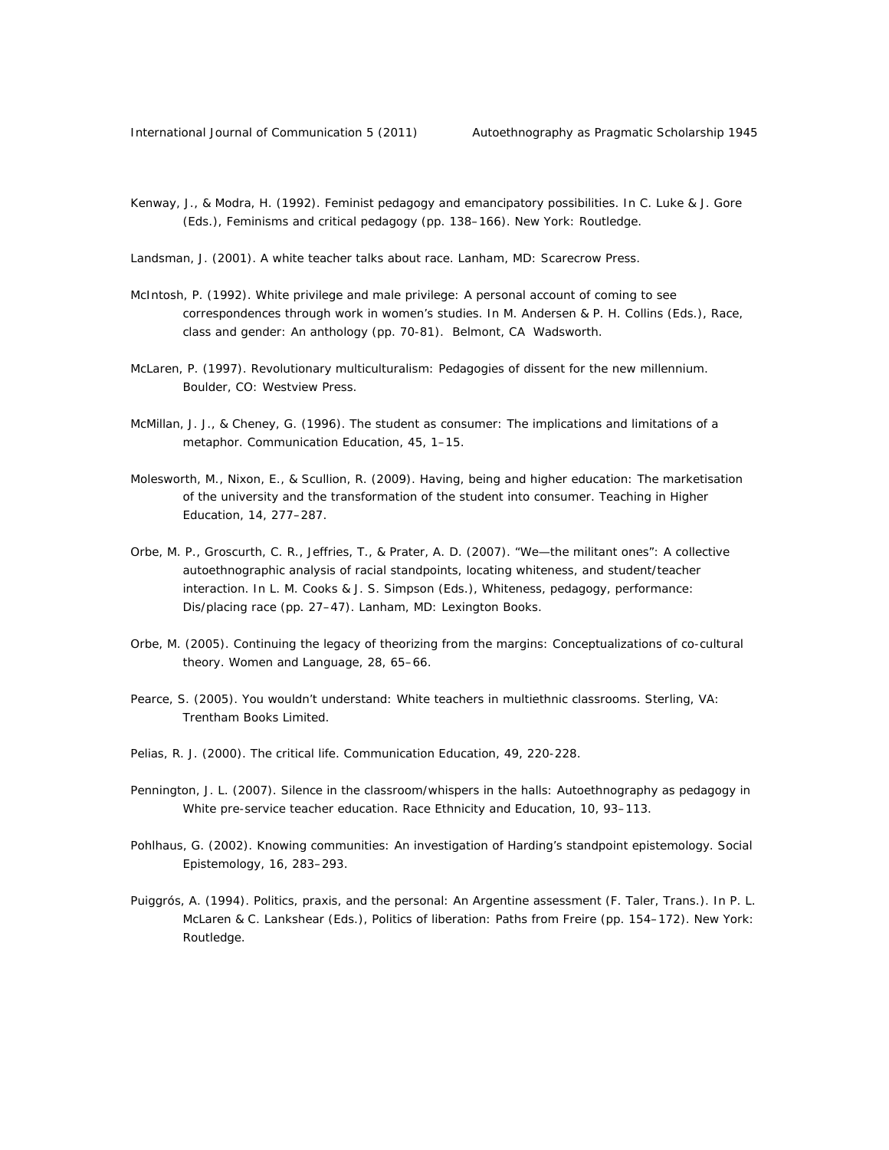- Kenway, J., & Modra, H. (1992). Feminist pedagogy and emancipatory possibilities. In C. Luke & J. Gore (Eds.), *Feminisms and critical pedagogy* (pp. 138–166). New York: Routledge.
- Landsman, J. (2001). *A white teacher talks about race.* Lanham, MD: Scarecrow Press.
- McIntosh, P. (1992). White privilege and male privilege: A personal account of coming to see correspondences through work in women's studies. In M. Andersen & P. H. Collins (Eds.), *Race, class and gender: An anthology* (pp. 70-81).Belmont, CA Wadsworth.
- McLaren, P. (1997). *Revolutionary multiculturalism: Pedagogies of dissent for the new millennium*. Boulder, CO: Westview Press.
- McMillan, J. J., & Cheney, G. (1996). The student as consumer: The implications and limitations of a metaphor. *Communication Education, 45,* 1–15.
- Molesworth, M., Nixon, E., & Scullion, R. (2009). Having, being and higher education: The marketisation of the university and the transformation of the student into consumer. *Teaching in Higher Education, 14,* 277–287.
- Orbe, M. P., Groscurth, C. R., Jeffries, T., & Prater, A. D. (2007). "We—the militant ones": A collective autoethnographic analysis of racial standpoints, locating whiteness, and student/teacher interaction. In L. M. Cooks & J. S. Simpson (Eds.), *Whiteness, pedagogy, performance: Dis/placing race* (pp. 27–47). Lanham, MD: Lexington Books.
- Orbe, M. (2005). Continuing the legacy of theorizing from the margins: Conceptualizations of co-cultural theory. *Women and Language, 28*, 65–66.
- Pearce, S. (2005). *You wouldn't understand: White teachers in multiethnic classrooms.* Sterling, VA: Trentham Books Limited.
- Pelias, R. J. (2000). The critical life. *Communication Education, 49,* 220-228.
- Pennington, J. L. (2007). Silence in the classroom/whispers in the halls: Autoethnography as pedagogy in White pre-service teacher education. *Race Ethnicity and Education, 10,* 93–113.
- Pohlhaus, G. (2002). Knowing communities: An investigation of Harding's standpoint epistemology. *Social Epistemology, 16*, 283–293.
- Puiggrós, A. (1994). Politics, praxis, and the personal: An Argentine assessment (F. Taler, Trans.). In P. L. McLaren & C. Lankshear (Eds.), *Politics of liberation: Paths from Freire* (pp. 154–172). New York: Routledge.